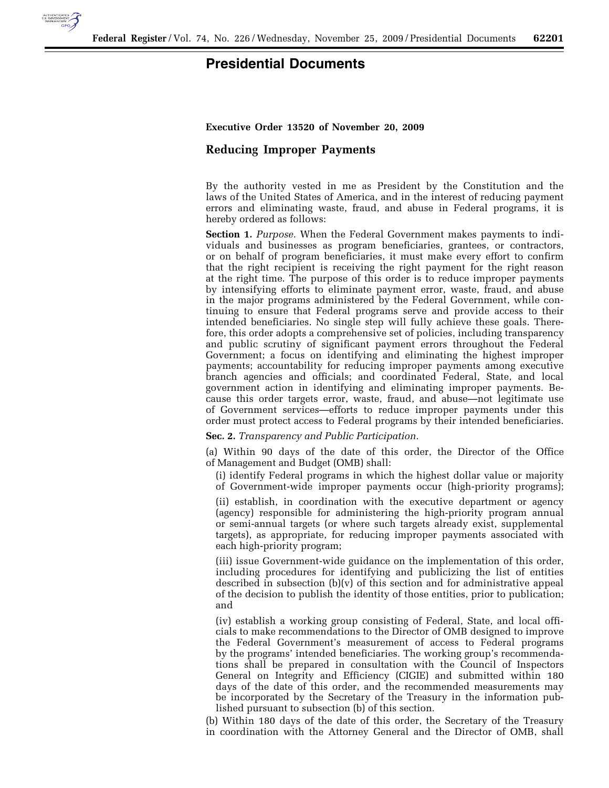

## **Presidential Documents**

**Executive Order 13520 of November 20, 2009** 

## **Reducing Improper Payments**

By the authority vested in me as President by the Constitution and the laws of the United States of America, and in the interest of reducing payment errors and eliminating waste, fraud, and abuse in Federal programs, it is hereby ordered as follows:

**Section 1.** *Purpose.* When the Federal Government makes payments to individuals and businesses as program beneficiaries, grantees, or contractors, or on behalf of program beneficiaries, it must make every effort to confirm that the right recipient is receiving the right payment for the right reason at the right time. The purpose of this order is to reduce improper payments by intensifying efforts to eliminate payment error, waste, fraud, and abuse in the major programs administered by the Federal Government, while continuing to ensure that Federal programs serve and provide access to their intended beneficiaries. No single step will fully achieve these goals. Therefore, this order adopts a comprehensive set of policies, including transparency and public scrutiny of significant payment errors throughout the Federal Government; a focus on identifying and eliminating the highest improper payments; accountability for reducing improper payments among executive branch agencies and officials; and coordinated Federal, State, and local government action in identifying and eliminating improper payments. Because this order targets error, waste, fraud, and abuse—not legitimate use of Government services—efforts to reduce improper payments under this order must protect access to Federal programs by their intended beneficiaries.

**Sec. 2.** *Transparency and Public Participation.* 

(a) Within 90 days of the date of this order, the Director of the Office of Management and Budget (OMB) shall:

(i) identify Federal programs in which the highest dollar value or majority of Government-wide improper payments occur (high-priority programs);

(ii) establish, in coordination with the executive department or agency (agency) responsible for administering the high-priority program annual or semi-annual targets (or where such targets already exist, supplemental targets), as appropriate, for reducing improper payments associated with each high-priority program;

(iii) issue Government-wide guidance on the implementation of this order, including procedures for identifying and publicizing the list of entities described in subsection (b)(v) of this section and for administrative appeal of the decision to publish the identity of those entities, prior to publication; and

(iv) establish a working group consisting of Federal, State, and local officials to make recommendations to the Director of OMB designed to improve the Federal Government's measurement of access to Federal programs by the programs' intended beneficiaries. The working group's recommendations shall be prepared in consultation with the Council of Inspectors General on Integrity and Efficiency (CIGIE) and submitted within 180 days of the date of this order, and the recommended measurements may be incorporated by the Secretary of the Treasury in the information published pursuant to subsection (b) of this section.

(b) Within 180 days of the date of this order, the Secretary of the Treasury in coordination with the Attorney General and the Director of OMB, shall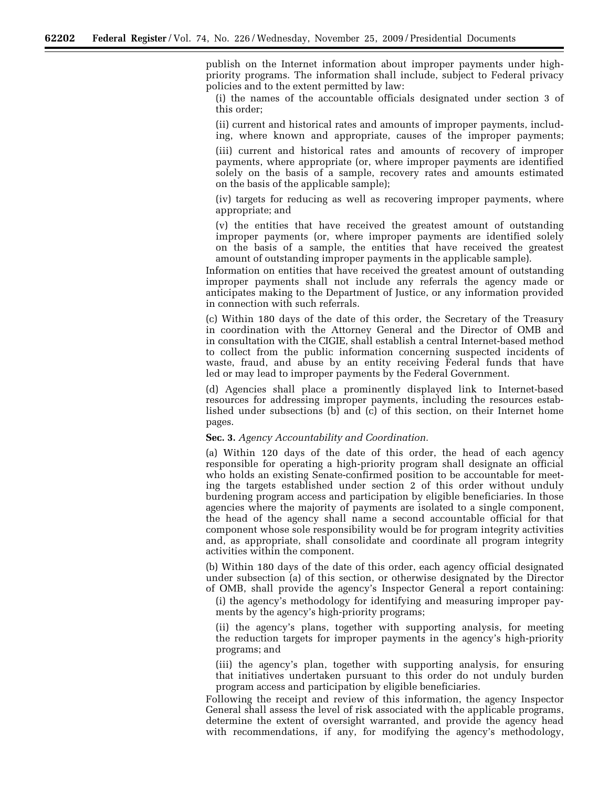publish on the Internet information about improper payments under highpriority programs. The information shall include, subject to Federal privacy policies and to the extent permitted by law:

(i) the names of the accountable officials designated under section 3 of this order;

(ii) current and historical rates and amounts of improper payments, including, where known and appropriate, causes of the improper payments;

(iii) current and historical rates and amounts of recovery of improper payments, where appropriate (or, where improper payments are identified solely on the basis of a sample, recovery rates and amounts estimated on the basis of the applicable sample);

(iv) targets for reducing as well as recovering improper payments, where appropriate; and

(v) the entities that have received the greatest amount of outstanding improper payments (or, where improper payments are identified solely on the basis of a sample, the entities that have received the greatest amount of outstanding improper payments in the applicable sample).

Information on entities that have received the greatest amount of outstanding improper payments shall not include any referrals the agency made or anticipates making to the Department of Justice, or any information provided in connection with such referrals.

(c) Within 180 days of the date of this order, the Secretary of the Treasury in coordination with the Attorney General and the Director of OMB and in consultation with the CIGIE, shall establish a central Internet-based method to collect from the public information concerning suspected incidents of waste, fraud, and abuse by an entity receiving Federal funds that have led or may lead to improper payments by the Federal Government.

(d) Agencies shall place a prominently displayed link to Internet-based resources for addressing improper payments, including the resources established under subsections (b) and (c) of this section, on their Internet home pages.

**Sec. 3.** *Agency Accountability and Coordination.* 

(a) Within 120 days of the date of this order, the head of each agency responsible for operating a high-priority program shall designate an official who holds an existing Senate-confirmed position to be accountable for meeting the targets established under section 2 of this order without unduly burdening program access and participation by eligible beneficiaries. In those agencies where the majority of payments are isolated to a single component, the head of the agency shall name a second accountable official for that component whose sole responsibility would be for program integrity activities and, as appropriate, shall consolidate and coordinate all program integrity activities within the component.

(b) Within 180 days of the date of this order, each agency official designated under subsection (a) of this section, or otherwise designated by the Director of OMB, shall provide the agency's Inspector General a report containing:

(i) the agency's methodology for identifying and measuring improper payments by the agency's high-priority programs;

(ii) the agency's plans, together with supporting analysis, for meeting the reduction targets for improper payments in the agency's high-priority programs; and

(iii) the agency's plan, together with supporting analysis, for ensuring that initiatives undertaken pursuant to this order do not unduly burden program access and participation by eligible beneficiaries.

Following the receipt and review of this information, the agency Inspector General shall assess the level of risk associated with the applicable programs, determine the extent of oversight warranted, and provide the agency head with recommendations, if any, for modifying the agency's methodology,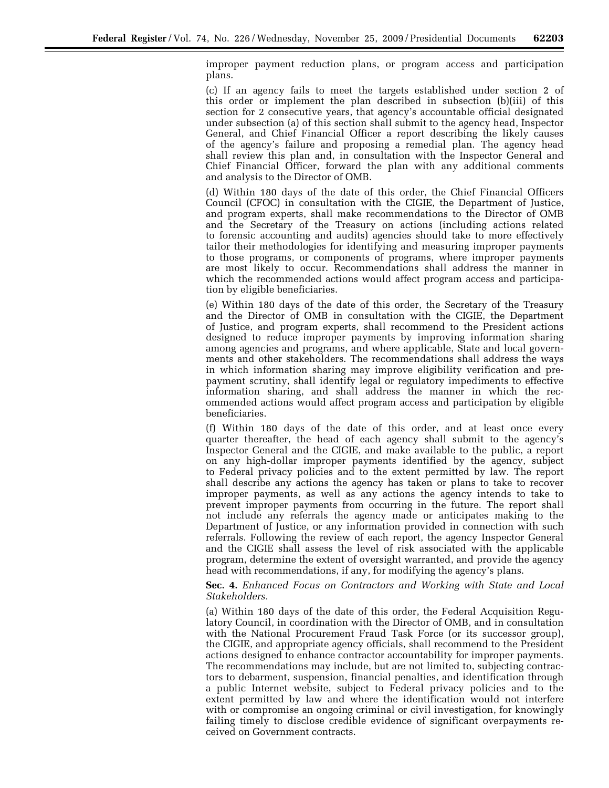improper payment reduction plans, or program access and participation plans.

(c) If an agency fails to meet the targets established under section 2 of this order or implement the plan described in subsection (b)(iii) of this section for 2 consecutive years, that agency's accountable official designated under subsection (a) of this section shall submit to the agency head, Inspector General, and Chief Financial Officer a report describing the likely causes of the agency's failure and proposing a remedial plan. The agency head shall review this plan and, in consultation with the Inspector General and Chief Financial Officer, forward the plan with any additional comments and analysis to the Director of OMB.

(d) Within 180 days of the date of this order, the Chief Financial Officers Council (CFOC) in consultation with the CIGIE, the Department of Justice, and program experts, shall make recommendations to the Director of OMB and the Secretary of the Treasury on actions (including actions related to forensic accounting and audits) agencies should take to more effectively tailor their methodologies for identifying and measuring improper payments to those programs, or components of programs, where improper payments are most likely to occur. Recommendations shall address the manner in which the recommended actions would affect program access and participation by eligible beneficiaries.

(e) Within 180 days of the date of this order, the Secretary of the Treasury and the Director of OMB in consultation with the CIGIE, the Department of Justice, and program experts, shall recommend to the President actions designed to reduce improper payments by improving information sharing among agencies and programs, and where applicable, State and local governments and other stakeholders. The recommendations shall address the ways in which information sharing may improve eligibility verification and prepayment scrutiny, shall identify legal or regulatory impediments to effective information sharing, and shall address the manner in which the recommended actions would affect program access and participation by eligible beneficiaries.

(f) Within 180 days of the date of this order, and at least once every quarter thereafter, the head of each agency shall submit to the agency's Inspector General and the CIGIE, and make available to the public, a report on any high-dollar improper payments identified by the agency, subject to Federal privacy policies and to the extent permitted by law. The report shall describe any actions the agency has taken or plans to take to recover improper payments, as well as any actions the agency intends to take to prevent improper payments from occurring in the future. The report shall not include any referrals the agency made or anticipates making to the Department of Justice, or any information provided in connection with such referrals. Following the review of each report, the agency Inspector General and the CIGIE shall assess the level of risk associated with the applicable program, determine the extent of oversight warranted, and provide the agency head with recommendations, if any, for modifying the agency's plans.

**Sec. 4.** *Enhanced Focus on Contractors and Working with State and Local Stakeholders.* 

(a) Within 180 days of the date of this order, the Federal Acquisition Regulatory Council, in coordination with the Director of OMB, and in consultation with the National Procurement Fraud Task Force (or its successor group), the CIGIE, and appropriate agency officials, shall recommend to the President actions designed to enhance contractor accountability for improper payments. The recommendations may include, but are not limited to, subjecting contractors to debarment, suspension, financial penalties, and identification through a public Internet website, subject to Federal privacy policies and to the extent permitted by law and where the identification would not interfere with or compromise an ongoing criminal or civil investigation, for knowingly failing timely to disclose credible evidence of significant overpayments received on Government contracts.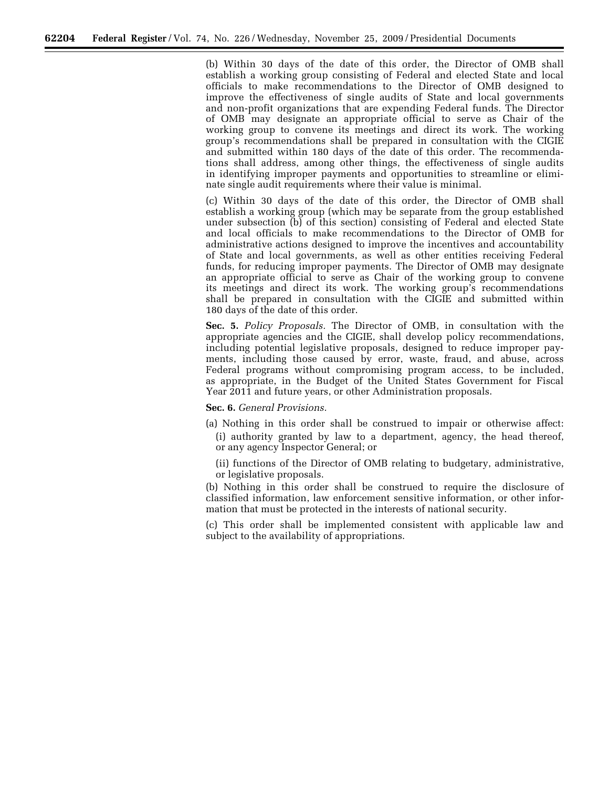(b) Within 30 days of the date of this order, the Director of OMB shall establish a working group consisting of Federal and elected State and local officials to make recommendations to the Director of OMB designed to improve the effectiveness of single audits of State and local governments and non-profit organizations that are expending Federal funds. The Director of OMB may designate an appropriate official to serve as Chair of the working group to convene its meetings and direct its work. The working group's recommendations shall be prepared in consultation with the CIGIE and submitted within 180 days of the date of this order. The recommendations shall address, among other things, the effectiveness of single audits in identifying improper payments and opportunities to streamline or eliminate single audit requirements where their value is minimal.

(c) Within 30 days of the date of this order, the Director of OMB shall establish a working group (which may be separate from the group established under subsection (b) of this section) consisting of Federal and elected State and local officials to make recommendations to the Director of OMB for administrative actions designed to improve the incentives and accountability of State and local governments, as well as other entities receiving Federal funds, for reducing improper payments. The Director of OMB may designate an appropriate official to serve as Chair of the working group to convene its meetings and direct its work. The working group's recommendations shall be prepared in consultation with the CIGIE and submitted within 180 days of the date of this order.

**Sec. 5.** *Policy Proposals.* The Director of OMB, in consultation with the appropriate agencies and the CIGIE, shall develop policy recommendations, including potential legislative proposals, designed to reduce improper payments, including those caused by error, waste, fraud, and abuse, across Federal programs without compromising program access, to be included, as appropriate, in the Budget of the United States Government for Fiscal Year 2011 and future years, or other Administration proposals.

**Sec. 6.** *General Provisions.* 

- (a) Nothing in this order shall be construed to impair or otherwise affect: (i) authority granted by law to a department, agency, the head thereof, or any agency Inspector General; or
	- (ii) functions of the Director of OMB relating to budgetary, administrative, or legislative proposals.

(b) Nothing in this order shall be construed to require the disclosure of classified information, law enforcement sensitive information, or other information that must be protected in the interests of national security.

(c) This order shall be implemented consistent with applicable law and subject to the availability of appropriations.